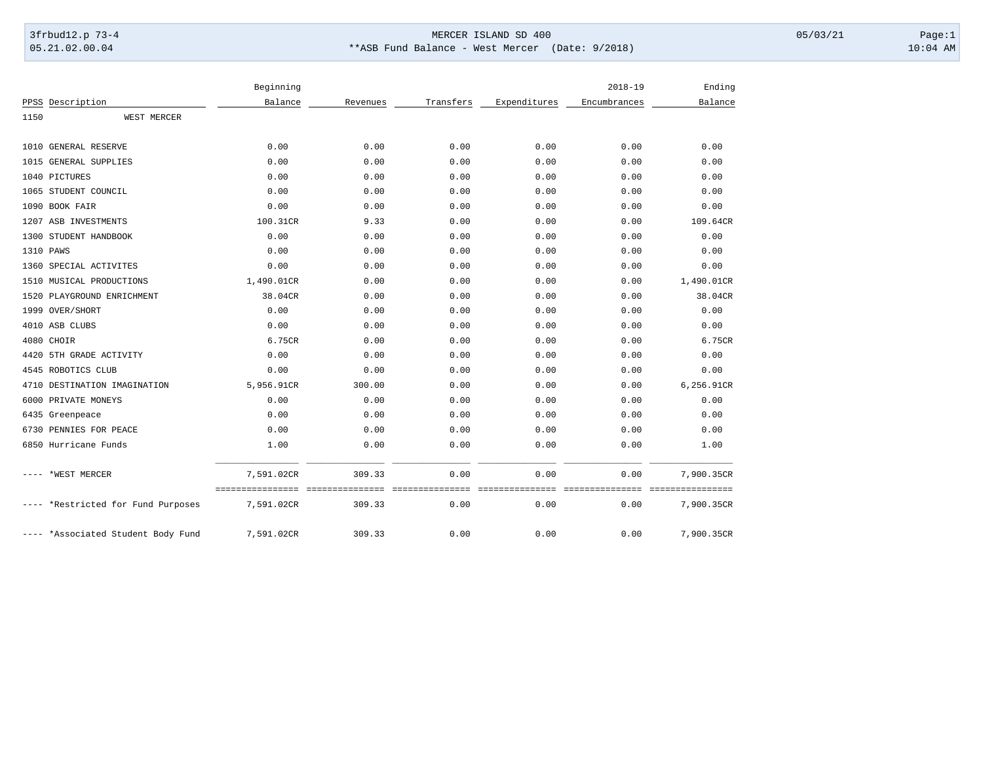## 3frbud12.p 73-4 Page:1 Page:1 05.21.02.00.04 \*\*ASB Fund Balance - West Mercer (Date: 9/2018) 10:04 AM

|      |                               | Beginning                                      |          |                         |                         | $2018 - 19$             | Ending                         |
|------|-------------------------------|------------------------------------------------|----------|-------------------------|-------------------------|-------------------------|--------------------------------|
|      | PPSS Description              | Balance                                        | Revenues | Transfers               | Expenditures            | Encumbrances            | Balance                        |
| 1150 | WEST MERCER                   |                                                |          |                         |                         |                         |                                |
|      |                               |                                                |          |                         |                         |                         |                                |
|      | 1010 GENERAL RESERVE          | 0.00                                           | 0.00     | 0.00                    | 0.00                    | 0.00                    | 0.00                           |
|      | 1015 GENERAL SUPPLIES         | 0.00                                           | 0.00     | 0.00                    | 0.00                    | 0.00                    | 0.00                           |
|      | 1040 PICTURES                 | 0.00                                           | 0.00     | 0.00                    | 0.00                    | 0.00                    | 0.00                           |
|      | 1065 STUDENT COUNCIL          | 0.00                                           | 0.00     | 0.00                    | 0.00                    | 0.00                    | 0.00                           |
|      | 1090 BOOK FAIR                | 0.00                                           | 0.00     | 0.00                    | 0.00                    | 0.00                    | 0.00                           |
|      | 1207 ASB INVESTMENTS          | 100.31CR                                       | 9.33     | 0.00                    | 0.00                    | 0.00                    | 109.64CR                       |
|      | 1300 STUDENT HANDBOOK         | 0.00                                           | 0.00     | 0.00                    | 0.00                    | 0.00                    | 0.00                           |
|      | 1310 PAWS                     | 0.00                                           | 0.00     | 0.00                    | 0.00                    | 0.00                    | 0.00                           |
|      | 1360 SPECIAL ACTIVITES        | 0.00                                           | 0.00     | 0.00                    | 0.00                    | 0.00                    | 0.00                           |
|      | 1510 MUSICAL PRODUCTIONS      | 1,490.01CR                                     | 0.00     | 0.00                    | 0.00                    | 0.00                    | 1,490.01CR                     |
|      | 1520 PLAYGROUND ENRICHMENT    | 38.04CR                                        | 0.00     | 0.00                    | 0.00                    | 0.00                    | 38.04CR                        |
|      | 1999 OVER/SHORT               | 0.00                                           | 0.00     | 0.00                    | 0.00                    | 0.00                    | 0.00                           |
|      | 4010 ASB CLUBS                | 0.00                                           | 0.00     | 0.00                    | 0.00                    | 0.00                    | 0.00                           |
|      | 4080 CHOIR                    | 6.75CR                                         | 0.00     | 0.00                    | 0.00                    | 0.00                    | 6.75CR                         |
| 4420 | 5TH GRADE ACTIVITY            | 0.00                                           | 0.00     | 0.00                    | 0.00                    | 0.00                    | 0.00                           |
|      | 4545 ROBOTICS CLUB            | 0.00                                           | 0.00     | 0.00                    | 0.00                    | 0.00                    | 0.00                           |
| 4710 | DESTINATION IMAGINATION       | 5,956.91CR                                     | 300.00   | 0.00                    | 0.00                    | 0.00                    | 6,256.91CR                     |
|      | 6000 PRIVATE MONEYS           | 0.00                                           | 0.00     | 0.00                    | 0.00                    | 0.00                    | 0.00                           |
|      | 6435 Greenpeace               | 0.00                                           | 0.00     | 0.00                    | 0.00                    | 0.00                    | 0.00                           |
|      | 6730 PENNIES FOR PEACE        | 0.00                                           | 0.00     | 0.00                    | 0.00                    | 0.00                    | 0.00                           |
|      | 6850 Hurricane Funds          | 1.00                                           | 0.00     | 0.00                    | 0.00                    | 0.00                    | 1.00                           |
|      | *WEST MERCER                  | 7,591.02CR                                     | 309.33   | 0.00                    | 0.00                    | 0.00                    | 7,900.35CR                     |
|      | *Restricted for Fund Purposes | ---------------- ---------------<br>7,591.02CR | 309.33   | seesseesseesses<br>0.00 | sseesseesseesse<br>0.00 | ===============<br>0.00 | ================<br>7,900.35CR |
|      | *Associated Student Body Fund | 7,591.02CR                                     | 309.33   | 0.00                    | 0.00                    | 0.00                    | 7,900.35CR                     |